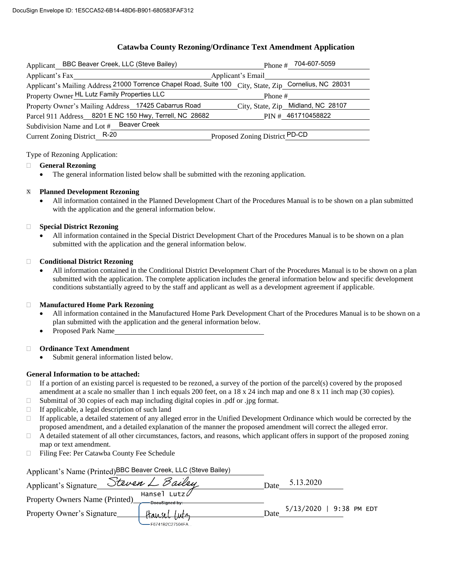### **Catawba County Rezoning/Ordinance Text Amendment Application**

| Applicant BBC Beaver Creek, LLC (Steve Bailey)                                                         | Phone # $704-607-5059$             |  |  |
|--------------------------------------------------------------------------------------------------------|------------------------------------|--|--|
| Applicant's Fax                                                                                        | Applicant's Email                  |  |  |
| Applicant's Mailing Address 21000 Torrence Chapel Road, Suite 100 City, State, Zip Cornelius, NC 28031 |                                    |  |  |
| Property Owner HL Lutz Family Properties LLC                                                           | Phone #                            |  |  |
| Property Owner's Mailing Address_17425 Cabarrus Road                                                   | City, State, Zip_Midland, NC 28107 |  |  |
| Parcel 911 Address 8201 E NC 150 Hwy, Terrell, NC 28682                                                | PIN # 461710458822                 |  |  |
| Subdivision Name and Lot # Beaver Creek                                                                |                                    |  |  |
| Current Zoning District R-20                                                                           | Proposed Zoning District PD-CD     |  |  |

#### Type of Rezoning Application:

#### **General Rezoning**

The general information listed below shall be submitted with the rezoning application.

#### **Planned Development Rezoning**  $\mathbf X$

 All information contained in the Planned Development Chart of the Procedures Manual is to be shown on a plan submitted with the application and the general information below.

#### **Special District Rezoning**

 All information contained in the Special District Development Chart of the Procedures Manual is to be shown on a plan submitted with the application and the general information below.

#### **Conditional District Rezoning**

 All information contained in the Conditional District Development Chart of the Procedures Manual is to be shown on a plan submitted with the application. The complete application includes the general information below and specific development conditions substantially agreed to by the staff and applicant as well as a development agreement if applicable.

#### **Manufactured Home Park Rezoning**

- All information contained in the Manufactured Home Park Development Chart of the Procedures Manual is to be shown on a plan submitted with the application and the general information below.
- Proposed Park Name

#### **Ordinance Text Amendment**

Submit general information listed below.

#### **General Information to be attached:**

- $\Box$  If a portion of an existing parcel is requested to be rezoned, a survey of the portion of the parcel(s) covered by the proposed amendment at a scale no smaller than 1 inch equals 200 feet, on a  $18 \times 24$  inch map and one  $8 \times 11$  inch map (30 copies).
- $\Box$  Submittal of 30 copies of each map including digital copies in .pdf or .jpg format.
- $\Box$  If applicable, a legal description of such land
- $\Box$  If applicable, a detailed statement of any alleged error in the Unified Development Ordinance which would be corrected by the proposed amendment, and a detailed explanation of the manner the proposed amendment will correct the alleged error.
- $\Box$  A detailed statement of all other circumstances, factors, and reasons, which applicant offers in support of the proposed zoning map or text amendment.
- Filing Fee: Per Catawba County Fee Schedule

| Applicant's Name (Printed)BBC Beaver Creek, LLC (Steve Bailey) |                                        |      |                         |  |
|----------------------------------------------------------------|----------------------------------------|------|-------------------------|--|
| Applicant's Signature                                          | Steven L Bailey                        | Date | 5.13.2020               |  |
| <b>Property Owners Name (Printed)</b>                          | Hansel<br>Lutz $\nu$<br>DocuSianed by: |      |                         |  |
| Property Owner's Signature                                     | tłansel Lutz                           | Date | 5/13/2020   9:38 PM EDT |  |
|                                                                | F6741B2C27504FA                        |      |                         |  |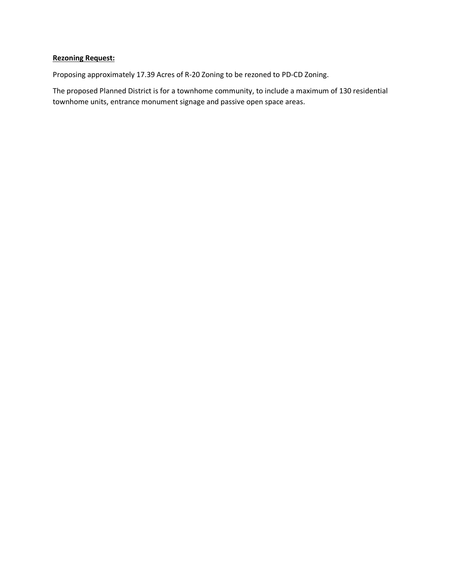## **Rezoning Request:**

Proposing approximately 17.39 Acres of R-20 Zoning to be rezoned to PD-CD Zoning.

The proposed Planned District is for a townhome community, to include a maximum of 130 residential townhome units, entrance monument signage and passive open space areas.